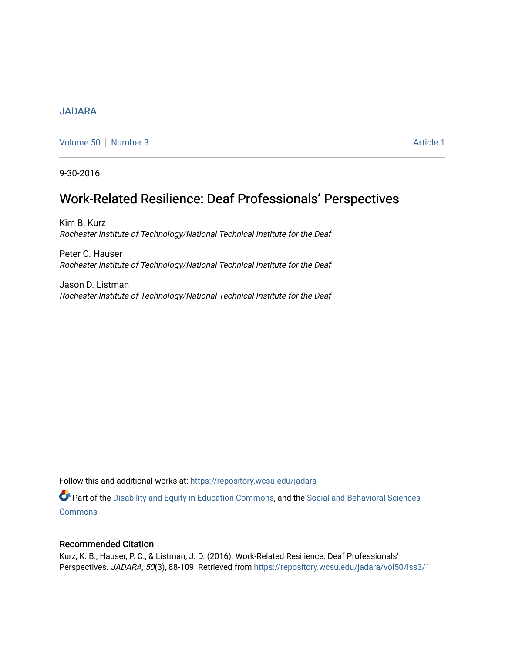#### [JADARA](https://repository.wcsu.edu/jadara)

[Volume 50](https://repository.wcsu.edu/jadara/vol50) | [Number 3](https://repository.wcsu.edu/jadara/vol50/iss3) Article 1

9-30-2016

# Work-Related Resilience: Deaf Professionals' Perspectives

Kim B. Kurz Rochester Institute of Technology/National Technical Institute for the Deaf

Peter C. Hauser Rochester Institute of Technology/National Technical Institute for the Deaf

Jason D. Listman Rochester Institute of Technology/National Technical Institute for the Deaf

Follow this and additional works at: [https://repository.wcsu.edu/jadara](https://repository.wcsu.edu/jadara?utm_source=repository.wcsu.edu%2Fjadara%2Fvol50%2Fiss3%2F1&utm_medium=PDF&utm_campaign=PDFCoverPages)

Part of the [Disability and Equity in Education Commons](http://network.bepress.com/hgg/discipline/1040?utm_source=repository.wcsu.edu%2Fjadara%2Fvol50%2Fiss3%2F1&utm_medium=PDF&utm_campaign=PDFCoverPages), and the Social and Behavioral Sciences **[Commons](http://network.bepress.com/hgg/discipline/316?utm_source=repository.wcsu.edu%2Fjadara%2Fvol50%2Fiss3%2F1&utm_medium=PDF&utm_campaign=PDFCoverPages)** 

#### Recommended Citation

Kurz, K. B., Hauser, P. C., & Listman, J. D. (2016). Work-Related Resilience: Deaf Professionals' Perspectives. JADARA, 50(3), 88-109. Retrieved from https://repository.wcsu.edu/jadara/vol50/iss3/1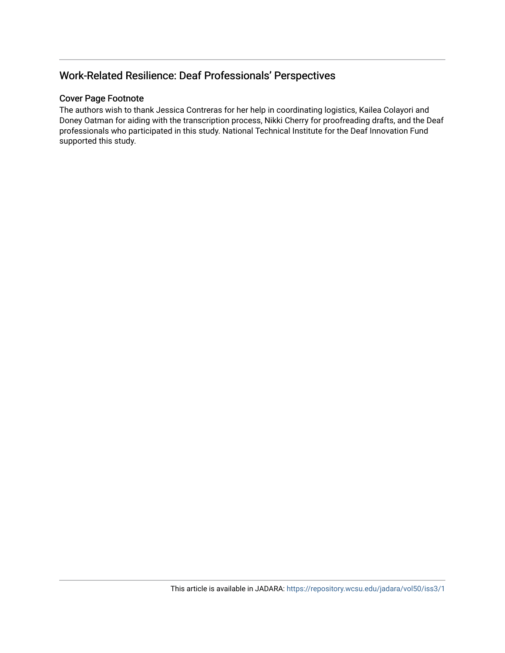## Work-Related Resilience: Deaf Professionals' Perspectives

## Cover Page Footnote

The authors wish to thank Jessica Contreras for her help in coordinating logistics, Kailea Colayori and Doney Oatman for aiding with the transcription process, Nikki Cherry for proofreading drafts, and the Deaf professionals who participated in this study. National Technical Institute for the Deaf Innovation Fund supported this study.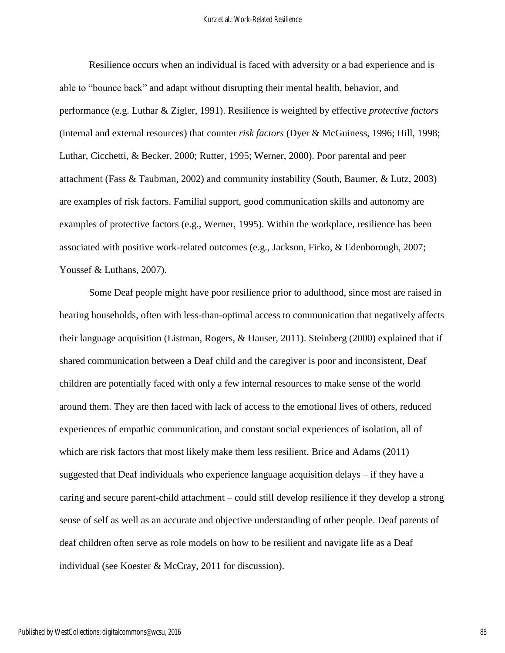Resilience occurs when an individual is faced with adversity or a bad experience and is able to "bounce back" and adapt without disrupting their mental health, behavior, and performance (e.g. Luthar & Zigler, 1991). Resilience is weighted by effective *protective factors* (internal and external resources) that counter *risk factors* (Dyer & McGuiness, 1996; Hill, 1998; Luthar, Cicchetti, & Becker, 2000; Rutter, 1995; Werner, 2000). Poor parental and peer attachment (Fass & Taubman, 2002) and community instability (South, Baumer, & Lutz, 2003) are examples of risk factors. Familial support, good communication skills and autonomy are examples of protective factors (e.g., Werner, 1995). Within the workplace, resilience has been associated with positive work-related outcomes (e.g., Jackson, Firko, & Edenborough, 2007; Youssef & Luthans, 2007).

Some Deaf people might have poor resilience prior to adulthood, since most are raised in hearing households, often with less-than-optimal access to communication that negatively affects their language acquisition (Listman, Rogers, & Hauser, 2011). Steinberg (2000) explained that if shared communication between a Deaf child and the caregiver is poor and inconsistent, Deaf children are potentially faced with only a few internal resources to make sense of the world around them. They are then faced with lack of access to the emotional lives of others, reduced experiences of empathic communication, and constant social experiences of isolation, all of which are risk factors that most likely make them less resilient. Brice and Adams (2011) suggested that Deaf individuals who experience language acquisition delays – if they have a caring and secure parent-child attachment – could still develop resilience if they develop a strong sense of self as well as an accurate and objective understanding of other people. Deaf parents of deaf children often serve as role models on how to be resilient and navigate life as a Deaf individual (see Koester & McCray, 2011 for discussion).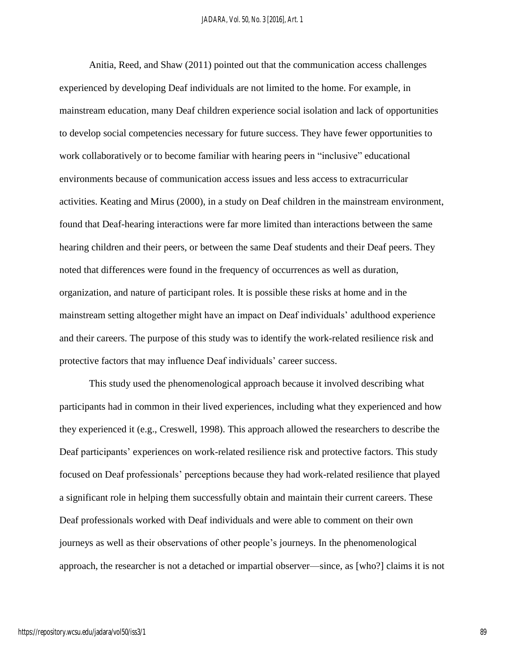Anitia, Reed, and Shaw (2011) pointed out that the communication access challenges experienced by developing Deaf individuals are not limited to the home. For example, in mainstream education, many Deaf children experience social isolation and lack of opportunities to develop social competencies necessary for future success. They have fewer opportunities to work collaboratively or to become familiar with hearing peers in "inclusive" educational environments because of communication access issues and less access to extracurricular activities. Keating and Mirus (2000), in a study on Deaf children in the mainstream environment, found that Deaf-hearing interactions were far more limited than interactions between the same hearing children and their peers, or between the same Deaf students and their Deaf peers. They noted that differences were found in the frequency of occurrences as well as duration, organization, and nature of participant roles. It is possible these risks at home and in the mainstream setting altogether might have an impact on Deaf individuals' adulthood experience and their careers. The purpose of this study was to identify the work-related resilience risk and protective factors that may influence Deaf individuals' career success.

This study used the phenomenological approach because it involved describing what participants had in common in their lived experiences, including what they experienced and how they experienced it (e.g., Creswell, 1998). This approach allowed the researchers to describe the Deaf participants' experiences on work-related resilience risk and protective factors. This study focused on Deaf professionals' perceptions because they had work-related resilience that played a significant role in helping them successfully obtain and maintain their current careers. These Deaf professionals worked with Deaf individuals and were able to comment on their own journeys as well as their observations of other people's journeys. In the phenomenological approach, the researcher is not a detached or impartial observer—since, as [who?] claims it is not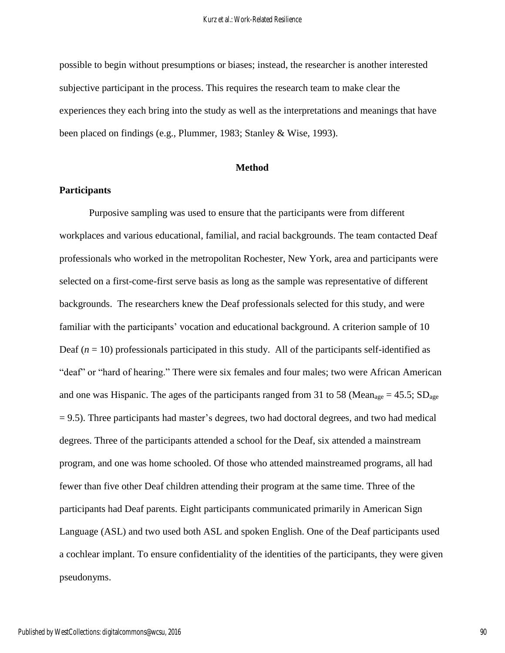possible to begin without presumptions or biases; instead, the researcher is another interested subjective participant in the process. This requires the research team to make clear the experiences they each bring into the study as well as the interpretations and meanings that have been placed on findings (e.g., Plummer, 1983; Stanley & Wise, 1993).

#### **Method**

#### **Participants**

Purposive sampling was used to ensure that the participants were from different workplaces and various educational, familial, and racial backgrounds. The team contacted Deaf professionals who worked in the metropolitan Rochester, New York, area and participants were selected on a first-come-first serve basis as long as the sample was representative of different backgrounds. The researchers knew the Deaf professionals selected for this study, and were familiar with the participants' vocation and educational background. A criterion sample of 10 Deaf  $(n = 10)$  professionals participated in this study. All of the participants self-identified as "deaf" or "hard of hearing." There were six females and four males; two were African American and one was Hispanic. The ages of the participants ranged from 31 to 58 (Mean<sub>age</sub> = 45.5; SD<sub>age</sub>  $= 9.5$ ). Three participants had master's degrees, two had doctoral degrees, and two had medical degrees. Three of the participants attended a school for the Deaf, six attended a mainstream program, and one was home schooled. Of those who attended mainstreamed programs, all had fewer than five other Deaf children attending their program at the same time. Three of the participants had Deaf parents. Eight participants communicated primarily in American Sign Language (ASL) and two used both ASL and spoken English. One of the Deaf participants used a cochlear implant. To ensure confidentiality of the identities of the participants, they were given pseudonyms.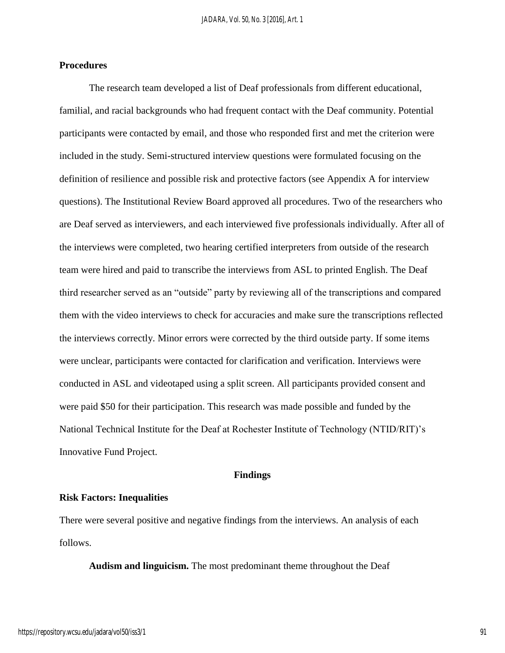#### **Procedures**

The research team developed a list of Deaf professionals from different educational, familial, and racial backgrounds who had frequent contact with the Deaf community. Potential participants were contacted by email, and those who responded first and met the criterion were included in the study. Semi-structured interview questions were formulated focusing on the definition of resilience and possible risk and protective factors (see Appendix A for interview questions). The Institutional Review Board approved all procedures. Two of the researchers who are Deaf served as interviewers, and each interviewed five professionals individually. After all of the interviews were completed, two hearing certified interpreters from outside of the research team were hired and paid to transcribe the interviews from ASL to printed English. The Deaf third researcher served as an "outside" party by reviewing all of the transcriptions and compared them with the video interviews to check for accuracies and make sure the transcriptions reflected the interviews correctly. Minor errors were corrected by the third outside party. If some items were unclear, participants were contacted for clarification and verification. Interviews were conducted in ASL and videotaped using a split screen. All participants provided consent and were paid \$50 for their participation. This research was made possible and funded by the National Technical Institute for the Deaf at Rochester Institute of Technology (NTID/RIT)'s Innovative Fund Project.

#### **Findings**

#### **Risk Factors: Inequalities**

There were several positive and negative findings from the interviews. An analysis of each follows.

**Audism and linguicism.** The most predominant theme throughout the Deaf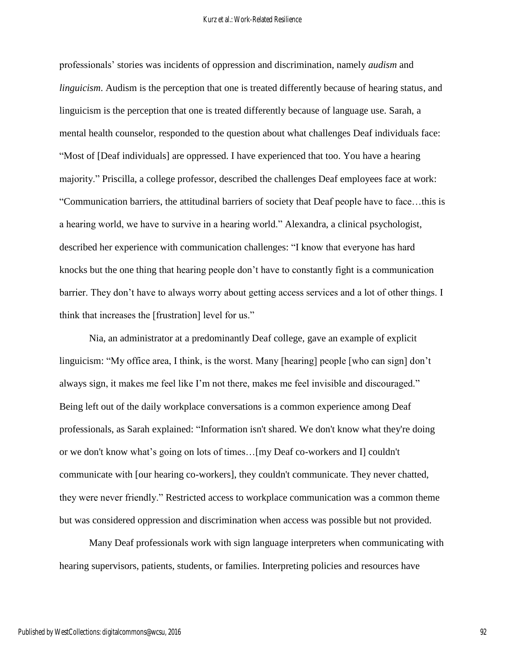professionals' stories was incidents of oppression and discrimination, namely *audism* and *linguicism*. Audism is the perception that one is treated differently because of hearing status, and linguicism is the perception that one is treated differently because of language use. Sarah, a mental health counselor, responded to the question about what challenges Deaf individuals face: "Most of [Deaf individuals] are oppressed. I have experienced that too. You have a hearing majority." Priscilla, a college professor, described the challenges Deaf employees face at work: "Communication barriers, the attitudinal barriers of society that Deaf people have to face…this is a hearing world, we have to survive in a hearing world." Alexandra, a clinical psychologist, described her experience with communication challenges: "I know that everyone has hard knocks but the one thing that hearing people don't have to constantly fight is a communication barrier. They don't have to always worry about getting access services and a lot of other things. I think that increases the [frustration] level for us."

Nia, an administrator at a predominantly Deaf college, gave an example of explicit linguicism: "My office area, I think, is the worst. Many [hearing] people [who can sign] don't always sign, it makes me feel like I'm not there, makes me feel invisible and discouraged." Being left out of the daily workplace conversations is a common experience among Deaf professionals, as Sarah explained: "Information isn't shared. We don't know what they're doing or we don't know what's going on lots of times…[my Deaf co-workers and I] couldn't communicate with [our hearing co-workers], they couldn't communicate. They never chatted, they were never friendly." Restricted access to workplace communication was a common theme but was considered oppression and discrimination when access was possible but not provided.

Many Deaf professionals work with sign language interpreters when communicating with hearing supervisors, patients, students, or families. Interpreting policies and resources have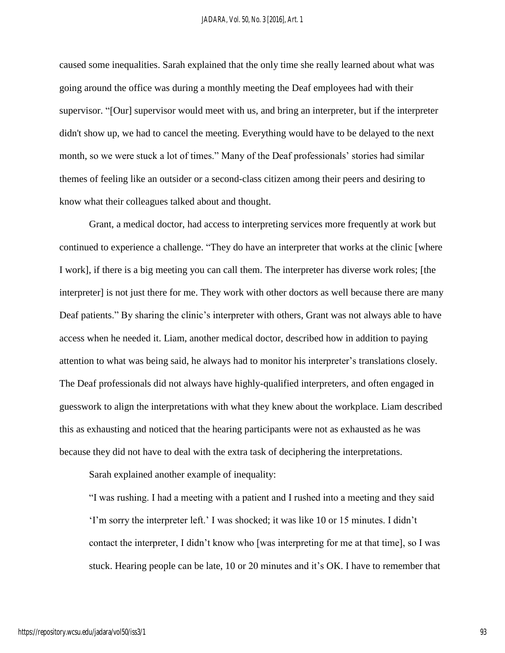caused some inequalities. Sarah explained that the only time she really learned about what was going around the office was during a monthly meeting the Deaf employees had with their supervisor. "[Our] supervisor would meet with us, and bring an interpreter, but if the interpreter didn't show up, we had to cancel the meeting. Everything would have to be delayed to the next month, so we were stuck a lot of times." Many of the Deaf professionals' stories had similar themes of feeling like an outsider or a second-class citizen among their peers and desiring to know what their colleagues talked about and thought.

Grant, a medical doctor, had access to interpreting services more frequently at work but continued to experience a challenge. "They do have an interpreter that works at the clinic [where I work], if there is a big meeting you can call them. The interpreter has diverse work roles; [the interpreter] is not just there for me. They work with other doctors as well because there are many Deaf patients." By sharing the clinic's interpreter with others, Grant was not always able to have access when he needed it. Liam, another medical doctor, described how in addition to paying attention to what was being said, he always had to monitor his interpreter's translations closely. The Deaf professionals did not always have highly-qualified interpreters, and often engaged in guesswork to align the interpretations with what they knew about the workplace. Liam described this as exhausting and noticed that the hearing participants were not as exhausted as he was because they did not have to deal with the extra task of deciphering the interpretations.

Sarah explained another example of inequality:

"I was rushing. I had a meeting with a patient and I rushed into a meeting and they said 'I'm sorry the interpreter left.' I was shocked; it was like 10 or 15 minutes. I didn't contact the interpreter, I didn't know who [was interpreting for me at that time], so I was stuck. Hearing people can be late, 10 or 20 minutes and it's OK. I have to remember that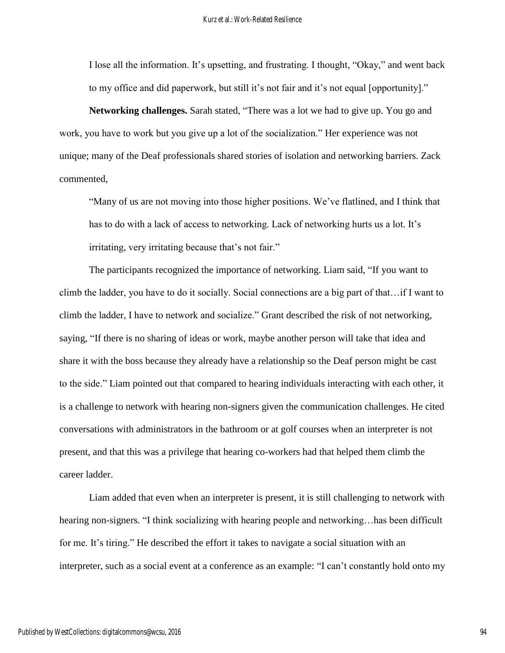I lose all the information. It's upsetting, and frustrating. I thought, "Okay," and went back to my office and did paperwork, but still it's not fair and it's not equal [opportunity]."

**Networking challenges.** Sarah stated, "There was a lot we had to give up. You go and work, you have to work but you give up a lot of the socialization." Her experience was not unique; many of the Deaf professionals shared stories of isolation and networking barriers. Zack commented,

"Many of us are not moving into those higher positions. We've flatlined, and I think that has to do with a lack of access to networking. Lack of networking hurts us a lot. It's irritating, very irritating because that's not fair."

The participants recognized the importance of networking. Liam said, "If you want to climb the ladder, you have to do it socially. Social connections are a big part of that…if I want to climb the ladder, I have to network and socialize." Grant described the risk of not networking, saying, "If there is no sharing of ideas or work, maybe another person will take that idea and share it with the boss because they already have a relationship so the Deaf person might be cast to the side." Liam pointed out that compared to hearing individuals interacting with each other, it is a challenge to network with hearing non-signers given the communication challenges. He cited conversations with administrators in the bathroom or at golf courses when an interpreter is not present, and that this was a privilege that hearing co-workers had that helped them climb the career ladder.

Liam added that even when an interpreter is present, it is still challenging to network with hearing non-signers. "I think socializing with hearing people and networking... has been difficult for me. It's tiring." He described the effort it takes to navigate a social situation with an interpreter, such as a social event at a conference as an example: "I can't constantly hold onto my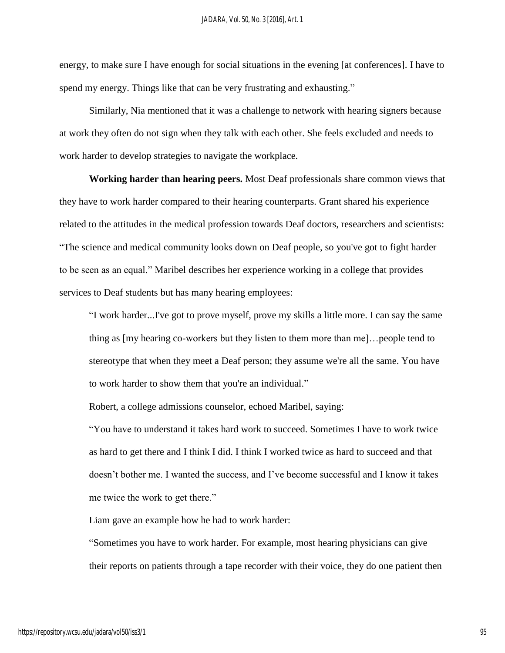energy, to make sure I have enough for social situations in the evening [at conferences]. I have to spend my energy. Things like that can be very frustrating and exhausting."

Similarly, Nia mentioned that it was a challenge to network with hearing signers because at work they often do not sign when they talk with each other. She feels excluded and needs to work harder to develop strategies to navigate the workplace.

**Working harder than hearing peers.** Most Deaf professionals share common views that they have to work harder compared to their hearing counterparts. Grant shared his experience related to the attitudes in the medical profession towards Deaf doctors, researchers and scientists: "The science and medical community looks down on Deaf people, so you've got to fight harder to be seen as an equal." Maribel describes her experience working in a college that provides services to Deaf students but has many hearing employees:

"I work harder...I've got to prove myself, prove my skills a little more. I can say the same thing as [my hearing co-workers but they listen to them more than me]…people tend to stereotype that when they meet a Deaf person; they assume we're all the same. You have to work harder to show them that you're an individual."

Robert, a college admissions counselor, echoed Maribel, saying:

"You have to understand it takes hard work to succeed. Sometimes I have to work twice as hard to get there and I think I did. I think I worked twice as hard to succeed and that doesn't bother me. I wanted the success, and I've become successful and I know it takes me twice the work to get there."

Liam gave an example how he had to work harder:

"Sometimes you have to work harder. For example, most hearing physicians can give their reports on patients through a tape recorder with their voice, they do one patient then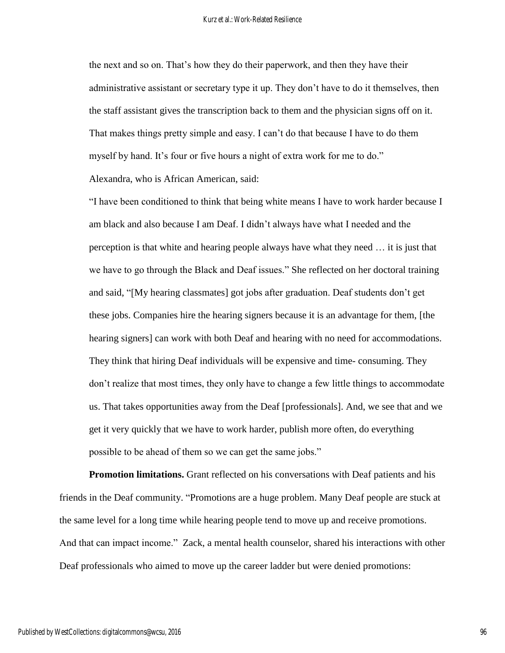the next and so on. That's how they do their paperwork, and then they have their administrative assistant or secretary type it up. They don't have to do it themselves, then the staff assistant gives the transcription back to them and the physician signs off on it. That makes things pretty simple and easy. I can't do that because I have to do them myself by hand. It's four or five hours a night of extra work for me to do." Alexandra, who is African American, said:

"I have been conditioned to think that being white means I have to work harder because I am black and also because I am Deaf. I didn't always have what I needed and the perception is that white and hearing people always have what they need … it is just that we have to go through the Black and Deaf issues." She reflected on her doctoral training and said, "[My hearing classmates] got jobs after graduation. Deaf students don't get these jobs. Companies hire the hearing signers because it is an advantage for them, [the hearing signers] can work with both Deaf and hearing with no need for accommodations. They think that hiring Deaf individuals will be expensive and time- consuming. They don't realize that most times, they only have to change a few little things to accommodate us. That takes opportunities away from the Deaf [professionals]. And, we see that and we get it very quickly that we have to work harder, publish more often, do everything possible to be ahead of them so we can get the same jobs."

**Promotion limitations.** Grant reflected on his conversations with Deaf patients and his friends in the Deaf community. "Promotions are a huge problem. Many Deaf people are stuck at the same level for a long time while hearing people tend to move up and receive promotions. And that can impact income." Zack, a mental health counselor, shared his interactions with other Deaf professionals who aimed to move up the career ladder but were denied promotions: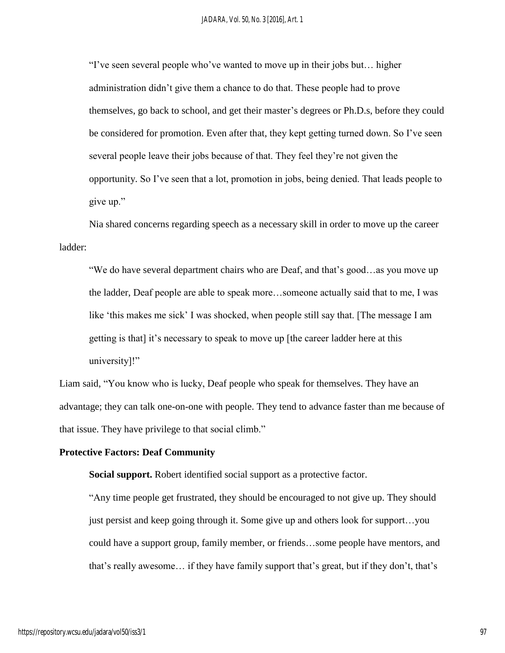"I've seen several people who've wanted to move up in their jobs but… higher administration didn't give them a chance to do that. These people had to prove themselves, go back to school, and get their master's degrees or Ph.D.s, before they could be considered for promotion. Even after that, they kept getting turned down. So I've seen several people leave their jobs because of that. They feel they're not given the opportunity. So I've seen that a lot, promotion in jobs, being denied. That leads people to give up."

Nia shared concerns regarding speech as a necessary skill in order to move up the career ladder:

"We do have several department chairs who are Deaf, and that's good…as you move up the ladder, Deaf people are able to speak more…someone actually said that to me, I was like 'this makes me sick' I was shocked, when people still say that. [The message I am getting is that] it's necessary to speak to move up [the career ladder here at this university]!"

Liam said, "You know who is lucky, Deaf people who speak for themselves. They have an advantage; they can talk one-on-one with people. They tend to advance faster than me because of that issue. They have privilege to that social climb."

#### **Protective Factors: Deaf Community**

**Social support.** Robert identified social support as a protective factor.

"Any time people get frustrated, they should be encouraged to not give up. They should just persist and keep going through it. Some give up and others look for support…you could have a support group, family member, or friends…some people have mentors, and that's really awesome… if they have family support that's great, but if they don't, that's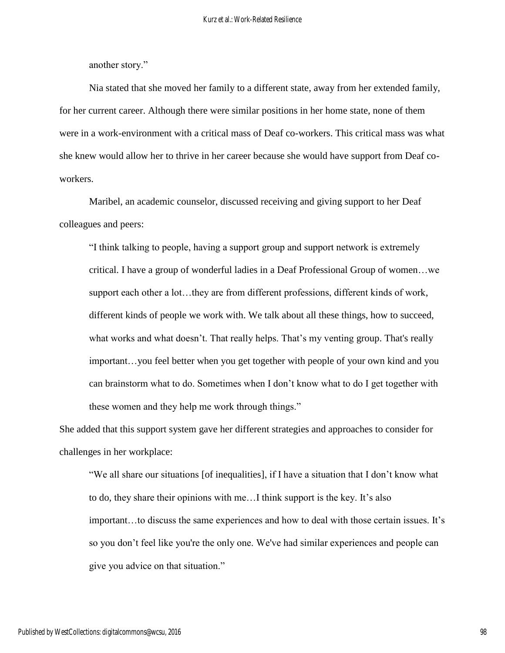another story."

Nia stated that she moved her family to a different state, away from her extended family, for her current career. Although there were similar positions in her home state, none of them were in a work-environment with a critical mass of Deaf co-workers. This critical mass was what she knew would allow her to thrive in her career because she would have support from Deaf coworkers.

Maribel, an academic counselor, discussed receiving and giving support to her Deaf colleagues and peers:

"I think talking to people, having a support group and support network is extremely critical. I have a group of wonderful ladies in a Deaf Professional Group of women…we support each other a lot…they are from different professions, different kinds of work, different kinds of people we work with. We talk about all these things, how to succeed, what works and what doesn't. That really helps. That's my venting group. That's really important…you feel better when you get together with people of your own kind and you can brainstorm what to do. Sometimes when I don't know what to do I get together with these women and they help me work through things."

She added that this support system gave her different strategies and approaches to consider for challenges in her workplace:

"We all share our situations [of inequalities], if I have a situation that I don't know what to do, they share their opinions with me…I think support is the key. It's also important…to discuss the same experiences and how to deal with those certain issues. It's so you don't feel like you're the only one. We've had similar experiences and people can give you advice on that situation."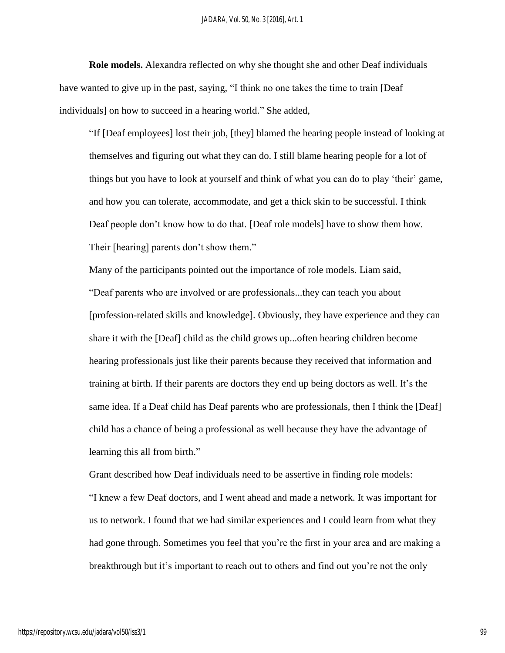**Role models.** Alexandra reflected on why she thought she and other Deaf individuals have wanted to give up in the past, saying, "I think no one takes the time to train [Deaf individuals] on how to succeed in a hearing world." She added,

"If [Deaf employees] lost their job, [they] blamed the hearing people instead of looking at themselves and figuring out what they can do. I still blame hearing people for a lot of things but you have to look at yourself and think of what you can do to play 'their' game, and how you can tolerate, accommodate, and get a thick skin to be successful. I think Deaf people don't know how to do that. [Deaf role models] have to show them how. Their [hearing] parents don't show them."

Many of the participants pointed out the importance of role models. Liam said, "Deaf parents who are involved or are professionals...they can teach you about [profession-related skills and knowledge]. Obviously, they have experience and they can share it with the [Deaf] child as the child grows up...often hearing children become hearing professionals just like their parents because they received that information and training at birth. If their parents are doctors they end up being doctors as well. It's the same idea. If a Deaf child has Deaf parents who are professionals, then I think the [Deaf] child has a chance of being a professional as well because they have the advantage of learning this all from birth."

Grant described how Deaf individuals need to be assertive in finding role models: "I knew a few Deaf doctors, and I went ahead and made a network. It was important for us to network. I found that we had similar experiences and I could learn from what they had gone through. Sometimes you feel that you're the first in your area and are making a breakthrough but it's important to reach out to others and find out you're not the only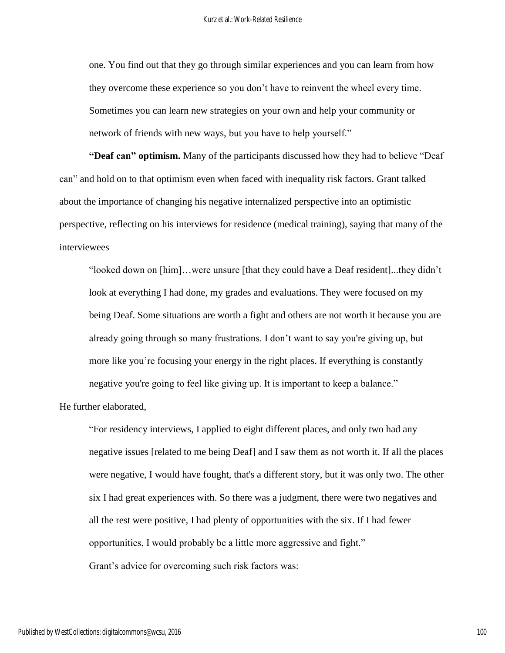one. You find out that they go through similar experiences and you can learn from how they overcome these experience so you don't have to reinvent the wheel every time. Sometimes you can learn new strategies on your own and help your community or network of friends with new ways, but you have to help yourself."

**"Deaf can" optimism.** Many of the participants discussed how they had to believe "Deaf can" and hold on to that optimism even when faced with inequality risk factors. Grant talked about the importance of changing his negative internalized perspective into an optimistic perspective, reflecting on his interviews for residence (medical training), saying that many of the interviewees

"looked down on [him]…were unsure [that they could have a Deaf resident]...they didn't look at everything I had done, my grades and evaluations. They were focused on my being Deaf. Some situations are worth a fight and others are not worth it because you are already going through so many frustrations. I don't want to say you're giving up, but more like you're focusing your energy in the right places. If everything is constantly negative you're going to feel like giving up. It is important to keep a balance."

He further elaborated,

"For residency interviews, I applied to eight different places, and only two had any negative issues [related to me being Deaf] and I saw them as not worth it. If all the places were negative, I would have fought, that's a different story, but it was only two. The other six I had great experiences with. So there was a judgment, there were two negatives and all the rest were positive, I had plenty of opportunities with the six. If I had fewer opportunities, I would probably be a little more aggressive and fight."

Grant's advice for overcoming such risk factors was: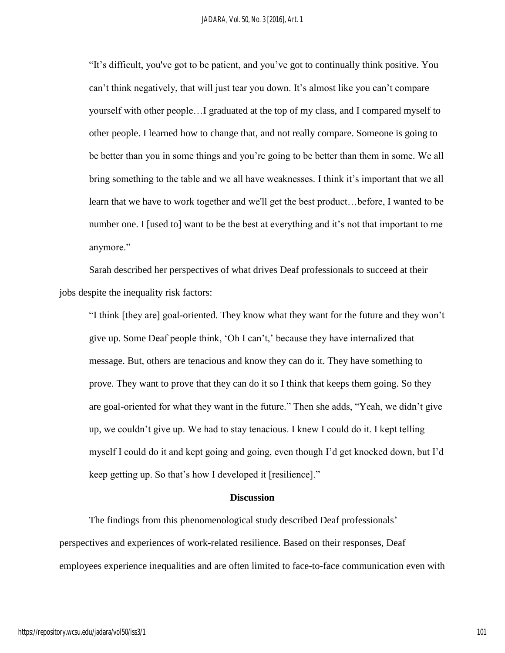"It's difficult, you've got to be patient, and you've got to continually think positive. You can't think negatively, that will just tear you down. It's almost like you can't compare yourself with other people…I graduated at the top of my class, and I compared myself to other people. I learned how to change that, and not really compare. Someone is going to be better than you in some things and you're going to be better than them in some. We all bring something to the table and we all have weaknesses. I think it's important that we all learn that we have to work together and we'll get the best product…before, I wanted to be number one. I [used to] want to be the best at everything and it's not that important to me anymore."

Sarah described her perspectives of what drives Deaf professionals to succeed at their jobs despite the inequality risk factors:

"I think [they are] goal-oriented. They know what they want for the future and they won't give up. Some Deaf people think, 'Oh I can't,' because they have internalized that message. But, others are tenacious and know they can do it. They have something to prove. They want to prove that they can do it so I think that keeps them going. So they are goal-oriented for what they want in the future." Then she adds, "Yeah, we didn't give up, we couldn't give up. We had to stay tenacious. I knew I could do it. I kept telling myself I could do it and kept going and going, even though I'd get knocked down, but I'd keep getting up. So that's how I developed it [resilience]."

#### **Discussion**

The findings from this phenomenological study described Deaf professionals' perspectives and experiences of work-related resilience. Based on their responses, Deaf employees experience inequalities and are often limited to face-to-face communication even with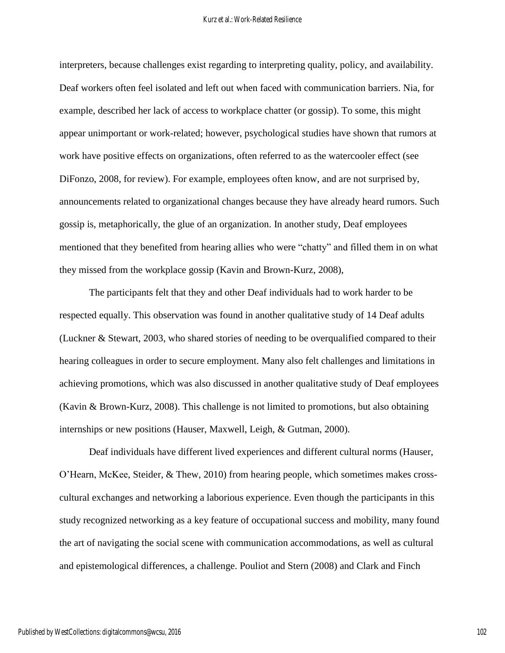interpreters, because challenges exist regarding to interpreting quality, policy, and availability. Deaf workers often feel isolated and left out when faced with communication barriers. Nia, for example, described her lack of access to workplace chatter (or gossip). To some, this might appear unimportant or work-related; however, psychological studies have shown that rumors at work have positive effects on organizations, often referred to as the watercooler effect (see DiFonzo, 2008, for review). For example, employees often know, and are not surprised by, announcements related to organizational changes because they have already heard rumors. Such gossip is, metaphorically, the glue of an organization. In another study, Deaf employees mentioned that they benefited from hearing allies who were "chatty" and filled them in on what they missed from the workplace gossip (Kavin and Brown-Kurz, 2008),

The participants felt that they and other Deaf individuals had to work harder to be respected equally. This observation was found in another qualitative study of 14 Deaf adults (Luckner & Stewart, 2003, who shared stories of needing to be overqualified compared to their hearing colleagues in order to secure employment. Many also felt challenges and limitations in achieving promotions, which was also discussed in another qualitative study of Deaf employees (Kavin & Brown-Kurz, 2008). This challenge is not limited to promotions, but also obtaining internships or new positions (Hauser, Maxwell, Leigh, & Gutman, 2000).

Deaf individuals have different lived experiences and different cultural norms (Hauser, O'Hearn, McKee, Steider, & Thew, 2010) from hearing people, which sometimes makes crosscultural exchanges and networking a laborious experience. Even though the participants in this study recognized networking as a key feature of occupational success and mobility, many found the art of navigating the social scene with communication accommodations, as well as cultural and epistemological differences, a challenge. Pouliot and Stern (2008) and Clark and Finch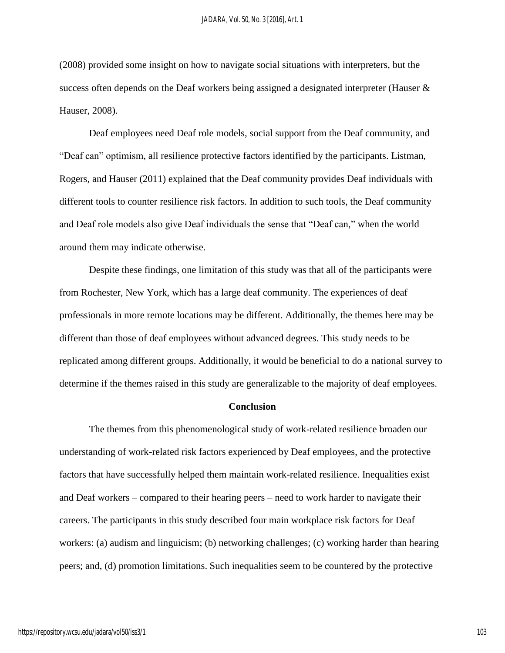(2008) provided some insight on how to navigate social situations with interpreters, but the success often depends on the Deaf workers being assigned a designated interpreter (Hauser & Hauser, 2008).

Deaf employees need Deaf role models, social support from the Deaf community, and "Deaf can" optimism, all resilience protective factors identified by the participants. Listman, Rogers, and Hauser (2011) explained that the Deaf community provides Deaf individuals with different tools to counter resilience risk factors. In addition to such tools, the Deaf community and Deaf role models also give Deaf individuals the sense that "Deaf can," when the world around them may indicate otherwise.

Despite these findings, one limitation of this study was that all of the participants were from Rochester, New York, which has a large deaf community. The experiences of deaf professionals in more remote locations may be different. Additionally, the themes here may be different than those of deaf employees without advanced degrees. This study needs to be replicated among different groups. Additionally, it would be beneficial to do a national survey to determine if the themes raised in this study are generalizable to the majority of deaf employees.

#### **Conclusion**

The themes from this phenomenological study of work-related resilience broaden our understanding of work-related risk factors experienced by Deaf employees, and the protective factors that have successfully helped them maintain work-related resilience. Inequalities exist and Deaf workers – compared to their hearing peers – need to work harder to navigate their careers. The participants in this study described four main workplace risk factors for Deaf workers: (a) audism and linguicism; (b) networking challenges; (c) working harder than hearing peers; and, (d) promotion limitations. Such inequalities seem to be countered by the protective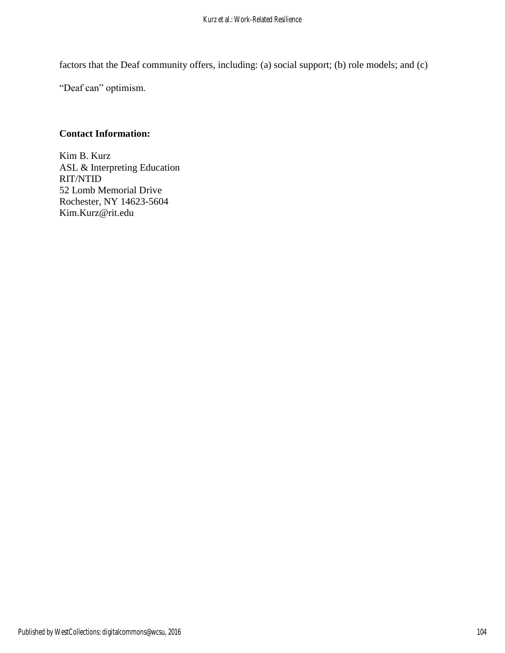factors that the Deaf community offers, including: (a) social support; (b) role models; and (c)

"Deaf can" optimism.

## **Contact Information:**

Kim B. Kurz ASL & Interpreting Education RIT/NTID 52 Lomb Memorial Drive Rochester, NY 14623-5604 Kim.Kurz@rit.edu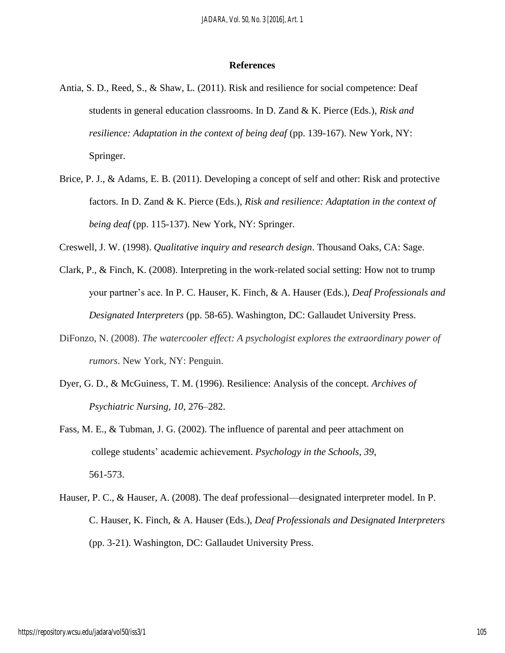#### **References**

- Antia, S. D., Reed, S., & Shaw, L. (2011). Risk and resilience for social competence: Deaf students in general education classrooms. In D. Zand & K. Pierce (Eds.), *Risk and resilience: Adaptation in the context of being deaf* (pp. 139-167). New York, NY: Springer.
- Brice, P. J., & Adams, E. B. (2011). Developing a concept of self and other: Risk and protective factors. In D. Zand & K. Pierce (Eds.), *Risk and resilience: Adaptation in the context of being deaf* (pp. 115-137). New York, NY: Springer.
- Creswell, J. W. (1998). *Qualitative inquiry and research design*. Thousand Oaks, CA: Sage.
- Clark, P., & Finch, K. (2008). Interpreting in the work-related social setting: How not to trump your partner's ace. In P. C. Hauser, K. Finch, & A. Hauser (Eds.), *Deaf Professionals and Designated Interpreters* (pp. 58-65). Washington, DC: Gallaudet University Press.
- DiFonzo, N. (2008). *The watercooler effect: A psychologist explores the extraordinary power of rumors*. New York, NY: Penguin.
- Dyer, G. D., & McGuiness, T. M. (1996). Resilience: Analysis of the concept. *Archives of Psychiatric Nursing, 10*, 276–282.
- Fass, M. E., & Tubman, J. G. (2002). The influence of parental and peer attachment on college students' academic achievement. *Psychology in the Schools, 39*, 561-573.
- Hauser, P. C., & Hauser, A. (2008). The deaf professional—designated interpreter model. In P. C. Hauser, K. Finch, & A. Hauser (Eds.), *Deaf Professionals and Designated Interpreters* (pp. 3-21). Washington, DC: Gallaudet University Press.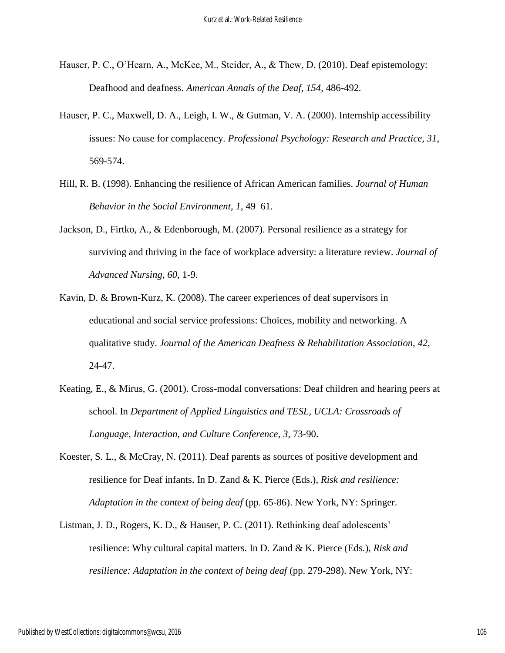- Hauser, P. C., O'Hearn, A., McKee, M., Steider, A., & Thew, D. (2010). Deaf epistemology: Deafhood and deafness. *American Annals of the Deaf, 154,* 486-492*.*
- Hauser, P. C., Maxwell, D. A., Leigh, I. W., & Gutman, V. A. (2000). Internship accessibility issues: No cause for complacency. *Professional Psychology: Research and Practice, 31*, 569-574.
- Hill, R. B. (1998). Enhancing the resilience of African American families. *Journal of Human Behavior in the Social Environment, 1*, 49–61.
- Jackson, D., Firtko, A., & Edenborough, M. (2007). Personal resilience as a strategy for surviving and thriving in the face of workplace adversity: a literature review. *Journal of Advanced Nursing*, *60*, 1-9.
- Kavin, D. & Brown-Kurz, K. (2008). The career experiences of deaf supervisors in educational and social service professions: Choices, mobility and networking. A qualitative study. *Journal of the American Deafness & Rehabilitation Association, 42*, 24-47.
- Keating, E., & Mirus, G. (2001). Cross-modal conversations: Deaf children and hearing peers at school. In *Department of Applied Linguistics and TESL, UCLA: Crossroads of Language, Interaction, and Culture Conference*, *3*, 73-90.
- Koester, S. L., & McCray, N. (2011). Deaf parents as sources of positive development and resilience for Deaf infants. In D. Zand & K. Pierce (Eds.), *Risk and resilience: Adaptation in the context of being deaf* (pp. 65-86). New York, NY: Springer.
- Listman, J. D., Rogers, K. D., & Hauser, P. C. (2011). Rethinking deaf adolescents' resilience: Why cultural capital matters. In D. Zand & K. Pierce (Eds.), *Risk and resilience: Adaptation in the context of being deaf* (pp. 279-298). New York, NY: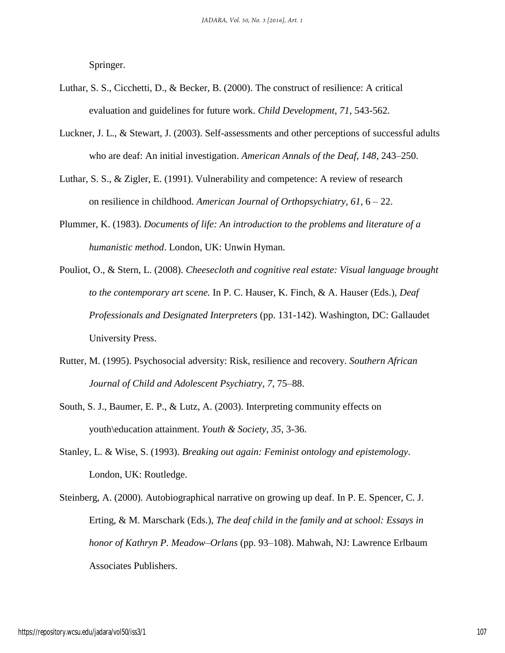Springer.

- Luthar, S. S., Cicchetti, D., & Becker, B. (2000). The construct of resilience: A critical evaluation and guidelines for future work. *Child Development, 71*, 543-562.
- Luckner, J. L., & Stewart, J. (2003). Self-assessments and other perceptions of successful adults who are deaf: An initial investigation. *American Annals of the Deaf, 148*, 243–250.
- Luthar, S. S., & Zigler, E. (1991). Vulnerability and competence: A review of research on resilience in childhood. *American Journal of Orthopsychiatry, 61*, 6 – 22.
- Plummer, K. (1983). *Documents of life: An introduction to the problems and literature of a humanistic method*. London, UK: Unwin Hyman.
- Pouliot, O., & Stern, L. (2008). *Cheesecloth and cognitive real estate: Visual language brought to the contemporary art scene.* In P. C. Hauser, K. Finch, & A. Hauser (Eds.), *Deaf Professionals and Designated Interpreters* (pp. 131-142). Washington, DC: Gallaudet University Press.
- Rutter, M. (1995). Psychosocial adversity: Risk, resilience and recovery. *Southern African Journal of Child and Adolescent Psychiatry, 7*, 75–88.
- South, S. J., Baumer, E. P., & Lutz, A. (2003). Interpreting community effects on youth\education attainment. *Youth & Society, 35*, 3-36.
- Stanley, L. & Wise, S. (1993). *Breaking out again: Feminist ontology and epistemology*. London, UK: Routledge.
- Steinberg, A. (2000). Autobiographical narrative on growing up deaf. In P. E. Spencer, C. J. Erting, & M. Marschark (Eds.), *The deaf child in the family and at school: Essays in honor of Kathryn P. Meadow–Orlans* (pp. 93–108). Mahwah, NJ: Lawrence Erlbaum Associates Publishers.